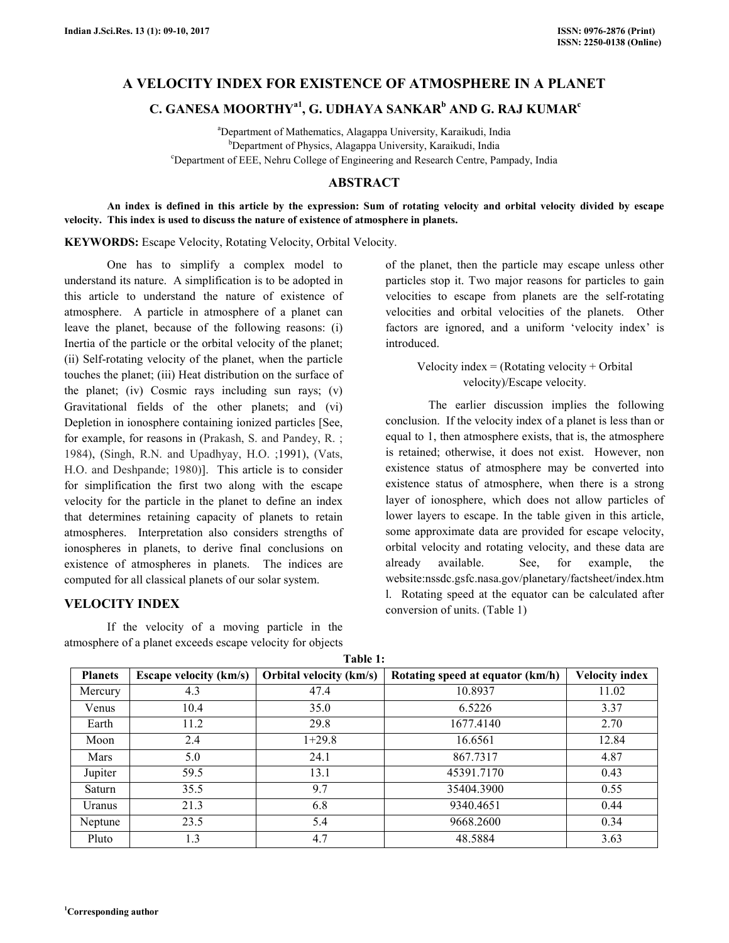## **A VELOCITY INDEX FOR EXISTENCE OF ATMOSPHERE IN A PLANET**

# **C. GANESA MOORTHYa1, G. UDHAYA SANKAR<sup>b</sup> AND G. RAJ KUMAR<sup>c</sup>**

<sup>a</sup>Department of Mathematics, Alagappa University, Karaikudi, India <sup>b</sup>Department of Physics, Alagappa University, Karaikudi, India <sup>c</sup>Department of EEE, Nehru College of Engineering and Research Centre, Pampady, India

## **ABSTRACT**

 **An index is defined in this article by the expression: Sum of rotating velocity and orbital velocity divided by escape velocity. This index is used to discuss the nature of existence of atmosphere in planets.** 

**KEYWORDS:** Escape Velocity, Rotating Velocity, Orbital Velocity.

 One has to simplify a complex model to understand its nature. A simplification is to be adopted in this article to understand the nature of existence of atmosphere. A particle in atmosphere of a planet can leave the planet, because of the following reasons: (i) Inertia of the particle or the orbital velocity of the planet; (ii) Self-rotating velocity of the planet, when the particle touches the planet; (iii) Heat distribution on the surface of the planet; (iv) Cosmic rays including sun rays; (v) Gravitational fields of the other planets; and (vi) Depletion in ionosphere containing ionized particles [See, for example, for reasons in (Prakash, S. and Pandey, R. ; 1984), (Singh, R.N. and Upadhyay, H.O. ;1991), (Vats, H.O. and Deshpande; 1980)]. This article is to consider for simplification the first two along with the escape velocity for the particle in the planet to define an index that determines retaining capacity of planets to retain atmospheres. Interpretation also considers strengths of ionospheres in planets, to derive final conclusions on existence of atmospheres in planets. The indices are computed for all classical planets of our solar system.

#### **VELOCITY INDEX**

 If the velocity of a moving particle in the atmosphere of a planet exceeds escape velocity for objects

of the planet, then the particle may escape unless other particles stop it. Two major reasons for particles to gain velocities to escape from planets are the self-rotating velocities and orbital velocities of the planets. Other factors are ignored, and a uniform 'velocity index' is introduced.

## Velocity index  $=$  (Rotating velocity  $+$  Orbital velocity)/Escape velocity.

 The earlier discussion implies the following conclusion. If the velocity index of a planet is less than or equal to 1, then atmosphere exists, that is, the atmosphere is retained; otherwise, it does not exist. However, non existence status of atmosphere may be converted into existence status of atmosphere, when there is a strong layer of ionosphere, which does not allow particles of lower layers to escape. In the table given in this article, some approximate data are provided for escape velocity, orbital velocity and rotating velocity, and these data are already available. See, for example, the website:nssdc.gsfc.nasa.gov/planetary/factsheet/index.htm l. Rotating speed at the equator can be calculated after conversion of units. (Table 1)

| 1 avit 1.      |                               |                                |                                  |                       |
|----------------|-------------------------------|--------------------------------|----------------------------------|-----------------------|
| <b>Planets</b> | <b>Escape velocity (km/s)</b> | <b>Orbital velocity (km/s)</b> | Rotating speed at equator (km/h) | <b>Velocity index</b> |
| Mercury        | 4.3                           | 47.4                           | 10.8937                          | 11.02                 |
| Venus          | 10.4                          | 35.0                           | 6.5226                           | 3.37                  |
| Earth          | 11.2                          | 29.8                           | 1677.4140                        | 2.70                  |
| Moon           | 2.4                           | $1+29.8$                       | 16.6561                          | 12.84                 |
| <b>Mars</b>    | 5.0                           | 24.1                           | 867.7317                         | 4.87                  |
| Jupiter        | 59.5                          | 13.1                           | 45391.7170                       | 0.43                  |
| Saturn         | 35.5                          | 9.7                            | 35404.3900                       | 0.55                  |
| Uranus         | 21.3                          | 6.8                            | 9340.4651                        | 0.44                  |
| Neptune        | 23.5                          | 5.4                            | 9668.2600                        | 0.34                  |
| Pluto          | 1.3                           | 4.7                            | 48.5884                          | 3.63                  |

**Table 1:**